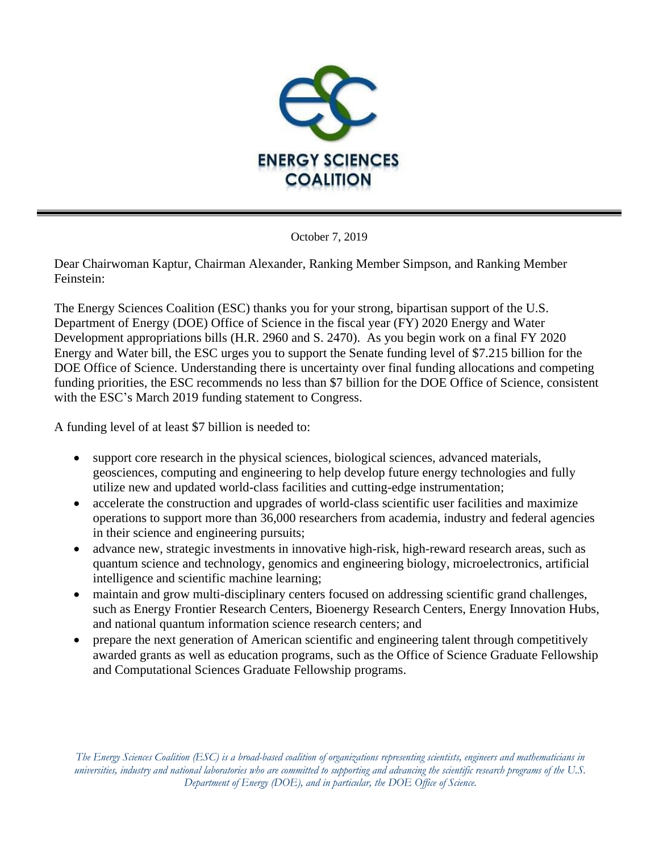

October 7, 2019

Dear Chairwoman Kaptur, Chairman Alexander, Ranking Member Simpson, and Ranking Member Feinstein:

The Energy Sciences Coalition (ESC) thanks you for your strong, bipartisan support of the U.S. Department of Energy (DOE) Office of Science in the fiscal year (FY) 2020 Energy and Water Development appropriations bills (H.R. 2960 and S. 2470). As you begin work on a final FY 2020 Energy and Water bill, the ESC urges you to support the Senate funding level of \$7.215 billion for the DOE Office of Science. Understanding there is uncertainty over final funding allocations and competing funding priorities, the ESC recommends no less than \$7 billion for the DOE Office of Science, consistent with the ESC's March 2019 funding statement to Congress.

A funding level of at least \$7 billion is needed to:

- support core research in the physical sciences, biological sciences, advanced materials, geosciences, computing and engineering to help develop future energy technologies and fully utilize new and updated world-class facilities and cutting-edge instrumentation;
- accelerate the construction and upgrades of world-class scientific user facilities and maximize operations to support more than 36,000 researchers from academia, industry and federal agencies in their science and engineering pursuits;
- advance new, strategic investments in innovative high-risk, high-reward research areas, such as quantum science and technology, genomics and engineering biology, microelectronics, artificial intelligence and scientific machine learning;
- maintain and grow multi-disciplinary centers focused on addressing scientific grand challenges, such as Energy Frontier Research Centers, Bioenergy Research Centers, Energy Innovation Hubs, and national quantum information science research centers; and
- prepare the next generation of American scientific and engineering talent through competitively awarded grants as well as education programs, such as the Office of Science Graduate Fellowship and Computational Sciences Graduate Fellowship programs.

*The Energy Sciences Coalition (ESC) is a broad-based coalition of organizations representing scientists, engineers and mathematicians in universities, industry and national laboratories who are committed to supporting and advancing the scientific research programs of the U.S. Department of Energy (DOE), and in particular, the DOE Office of Science.*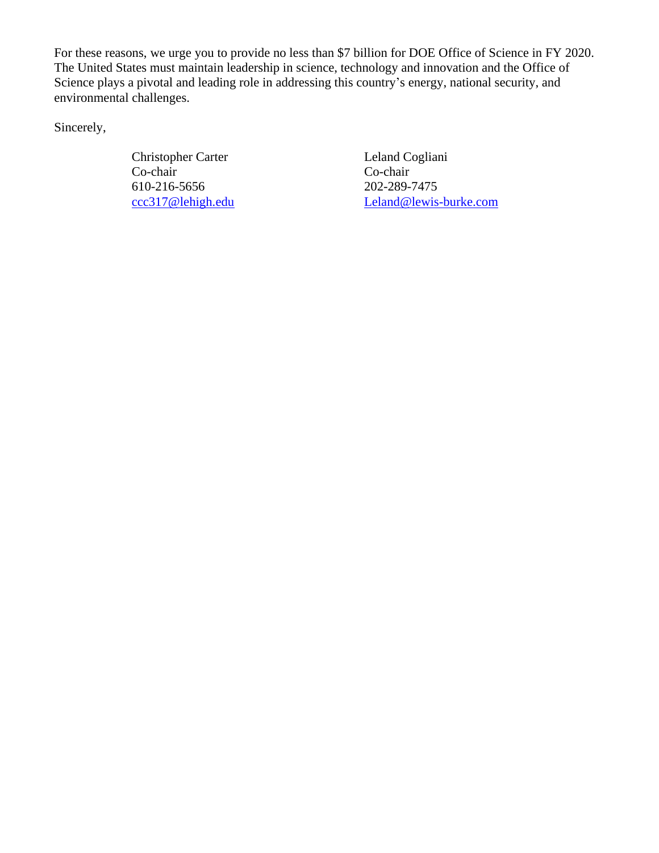For these reasons, we urge you to provide no less than \$7 billion for DOE Office of Science in FY 2020. The United States must maintain leadership in science, technology and innovation and the Office of Science plays a pivotal and leading role in addressing this country's energy, national security, and environmental challenges.

Sincerely,

Christopher Carter Leland Cogliani Co-chair Co-chair 610-216-5656 202-289-7475

[ccc317@lehigh.edu](mailto:ccc317@lehigh.edu) [Leland@lewis-burke.com](mailto:Leland@lewis-burke.com)